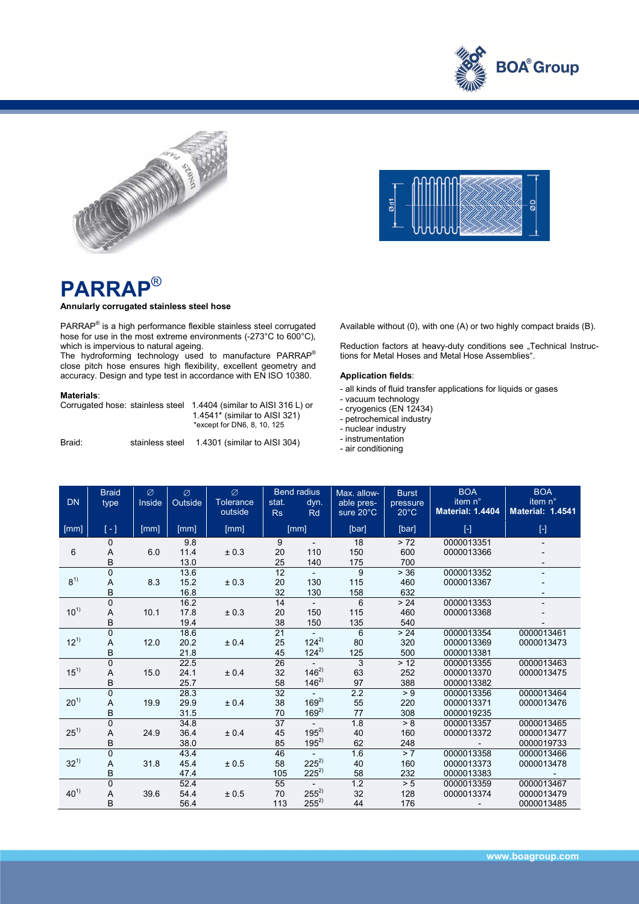





## **PARRAP**®

## **Annularly corrugated stainless steel hose**

PARRAP<sup>®</sup> is a high performance flexible stainless steel corrugated hose for use in the most extreme environments (-273°C to 600°C),

which is impervious to natural ageing.<br>The hydroforming technology used to manufacture PARRAP® close pitch hose ensures high flexibility, excellent geometry and accuracy. Design and type test in accordance with EN ISO 10380.

## **Materials**:

| Corrugated hose: stainless steel |                 | 1.4404 (similar to AISI 316 L) or<br>1.4541 $*$ (similar to AISI 321)<br>*except for DN6, 8, 10, 125 |  |  |  |
|----------------------------------|-----------------|------------------------------------------------------------------------------------------------------|--|--|--|
| Braid:                           | stainless steel | 1.4301 (similar to AISI 304)                                                                         |  |  |  |

Available without (0), with one (A) or two highly compact braids (B).

Reduction factors at heavy-duty conditions see "Technical Instructions for Metal Hoses and Metal Hose Assemblies".

## **Application fields**:

- all kinds of fluid transfer applications for liquids or gases
- vacuum technology
- cryogenics (EN 12434)
- petrochemical industry
- nuclear industry
- instrumentation
- air conditioning

| <b>DN</b> | <b>Braid</b><br>type  | Ø<br>Inside | Ø<br>Outside         | Ø<br><b>Tolerance</b><br>outside | stat.<br>Rs                 | <b>Bend radius</b><br>dyn.<br>Rd       | Max. allow-<br>able pres-<br>sure 20°C | <b>Burst</b><br>pressure<br>$20^{\circ}$ C | <b>BOA</b><br>item n°<br><b>Material: 1.4404</b> | <b>BOA</b><br>item n°<br><b>Material: 1.4541</b> |
|-----------|-----------------------|-------------|----------------------|----------------------------------|-----------------------------|----------------------------------------|----------------------------------------|--------------------------------------------|--------------------------------------------------|--------------------------------------------------|
| [mm]      | $\left[ -\right]$     | [mm]        | [mm]                 | [mm]                             | [mm]                        |                                        | [bar]                                  | [bar]                                      | $[\cdot]$                                        | $[ \cdot ]$                                      |
| 6         | 0<br>A<br>B           | 6.0         | 9.8<br>11.4<br>13.0  | ± 0.3                            | 9<br>20<br>25               | $\overline{\phantom{a}}$<br>110<br>140 | 18<br>150<br>175                       | > 72<br>600<br>700                         | 0000013351<br>0000013366                         |                                                  |
| $8^{1)}$  | $\Omega$<br>A<br>B    | 8.3         | 13.6<br>15.2<br>16.8 | ± 0.3                            | $\overline{12}$<br>20<br>32 | 130<br>130                             | 9<br>115<br>158                        | > 36<br>460<br>632                         | 0000013352<br>0000013367                         |                                                  |
| $10^{1}$  | $\mathbf 0$<br>A<br>B | 10.1        | 16.2<br>17.8<br>19.4 | ± 0.3                            | 14<br>20<br>38              | 150<br>150                             | 6<br>115<br>135                        | > 24<br>460<br>540                         | 0000013353<br>0000013368                         |                                                  |
| $12^{1}$  | $\mathbf 0$<br>A<br>B | 12.0        | 18.6<br>20.2<br>21.8 | ± 0.4                            | $\overline{21}$<br>25<br>45 | $124^{2}$<br>$124^{2}$                 | 6<br>80<br>125                         | > 24<br>320<br>500                         | 0000013354<br>0000013369<br>0000013381           | 0000013461<br>0000013473                         |
| $15^{1}$  | 0<br>A<br>B           | 15.0        | 22.5<br>24.1<br>25.7 | ± 0.4                            | 26<br>32<br>58              | $146^{2}$<br>$146^{2}$                 | 3<br>63<br>97                          | > 12<br>252<br>388                         | 0000013355<br>0000013370<br>0000013382           | 0000013463<br>0000013475                         |
| $20^{1}$  | $\mathbf 0$<br>A<br>B | 19.9        | 28.3<br>29.9<br>31.5 | ± 0.4                            | 32<br>38<br>70              | $169^{2}$<br>$169^{2}$                 | $\overline{2.2}$<br>55<br>77           | > 9<br>220<br>308                          | 0000013356<br>0000013371<br>0000019235           | 0000013464<br>0000013476                         |
| $25^{1}$  | $\mathbf 0$<br>A<br>B | 24.9        | 34.8<br>36.4<br>38.0 | $\pm$ 0.4                        | 37<br>45<br>85              | $195^{2}$<br>$195^{2}$                 | 1.8<br>40<br>62                        | > 8<br>160<br>248                          | 0000013357<br>0000013372                         | 0000013465<br>0000013477<br>0000019733           |
| $32^{1}$  | $\mathbf 0$<br>A<br>B | 31.8        | 43.4<br>45.4<br>47.4 | ± 0.5                            | 46<br>58<br>105             | $225^{2}$<br>$225^{2}$                 | 1.6<br>40<br>58                        | > 7<br>160<br>232                          | 0000013358<br>0000013373<br>0000013383           | 0000013466<br>0000013478                         |
| $40^{1}$  | $\mathbf 0$<br>A<br>B | 39.6        | 52.4<br>54.4<br>56.4 | ± 0.5                            | 55<br>70<br>113             | $255^{2}$<br>$255^{2}$                 | 1.2<br>32<br>44                        | > 5<br>128<br>176                          | 0000013359<br>0000013374                         | 0000013467<br>0000013479<br>0000013485           |